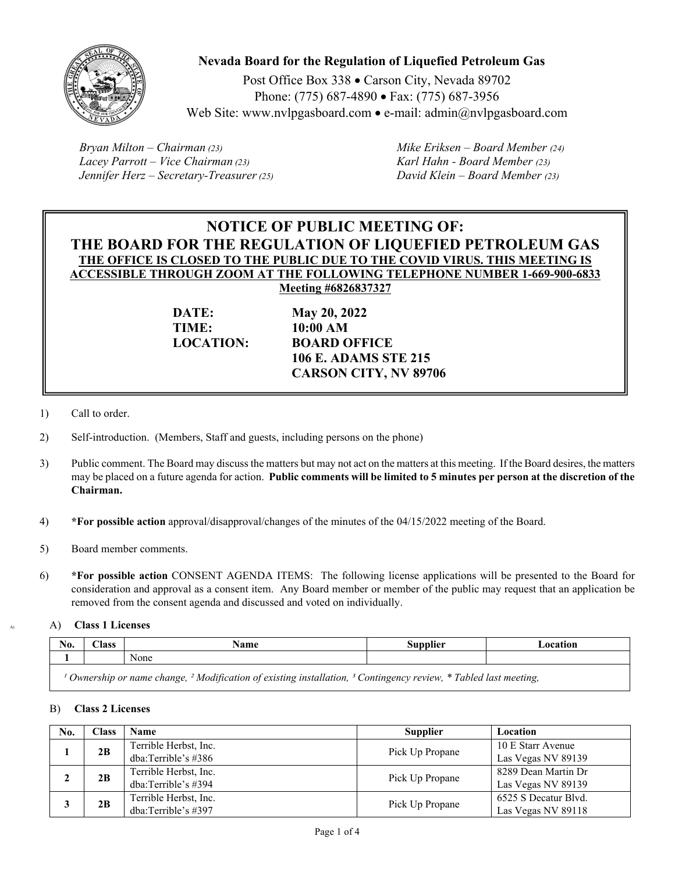

# **Nevada Board for the Regulation of Liquefied Petroleum Gas**

Post Office Box 338 · Carson City, Nevada 89702 Phone: (775) 687-4890 • Fax: (775) 687-3956 Web Site: www.nvlpgasboard.com • e-mail: admin $(\partial n)$  upgasboard.com

*Bryan Milton – Chairman (23) Mike Eriksen – Board Member (24) Lacey Parrott – Vice Chairman (23) Karl Hahn - Board Member (23) Jennifer Herz – Secretary-Treasurer (25) David Klein – Board Member (23)* 

# **NOTICE OF PUBLIC MEETING OF: THE BOARD FOR THE REGULATION OF LIQUEFIED PETROLEUM GAS THE OFFICE IS CLOSED TO THE PUBLIC DUE TO THE COVID VIRUS. THIS MEETING IS ACCESSIBLE THROUGH ZOOM AT THE FOLLOWING TELEPHONE NUMBER 1-669-900-6833 Meeting #6826837327**

**TIME: 10:00 AM** 

**DATE: May 20, 2022 LOCATION: BOARD OFFICE 106 E. ADAMS STE 215 CARSON CITY, NV 89706** 

- 1) Call to order.
- 2) Self-introduction. (Members, Staff and guests, including persons on the phone)
- 3) Public comment. The Board may discuss the matters but may not act on the matters at this meeting. If the Board desires, the matters may be placed on a future agenda for action. **Public comments will be limited to 5 minutes per person at the discretion of the Chairman.**
- 4) **\*For possible action** approval/disapproval/changes of the minutes of the 04/15/2022 meeting of the Board.
- 5) Board member comments.
- 6) **\*For possible action** CONSENT AGENDA ITEMS: The following license applications will be presented to the Board for consideration and approval as a consent item. Any Board member or member of the public may request that an application be removed from the consent agenda and discussed and voted on individually.

A) A) **Class 1 Licenses** 

| No.                                                                                                                                   | $\bigcap$ ass | Name | Supplier | Location |
|---------------------------------------------------------------------------------------------------------------------------------------|---------------|------|----------|----------|
|                                                                                                                                       |               | None |          |          |
| Ownership or name change, <sup>2</sup> Modification of existing installation, <sup>3</sup> Contingency review, * Tabled last meeting, |               |      |          |          |

## B) **Class 2 Licenses**

| No. | Class | Name                  | <b>Supplier</b> | Location             |
|-----|-------|-----------------------|-----------------|----------------------|
|     | 2B    | Terrible Herbst, Inc. | Pick Up Propane | 10 E Starr Avenue    |
|     |       | dba: Terrible's #386  |                 | Las Vegas NV 89139   |
|     | 2B    | Terrible Herbst, Inc. | Pick Up Propane | 8289 Dean Martin Dr  |
|     |       | dba: Terrible's #394  |                 | Las Vegas NV 89139   |
|     | 2B    | Terrible Herbst, Inc. | Pick Up Propane | 6525 S Decatur Blvd. |
|     |       | dba:Terrible's #397   |                 | Las Vegas NV 89118   |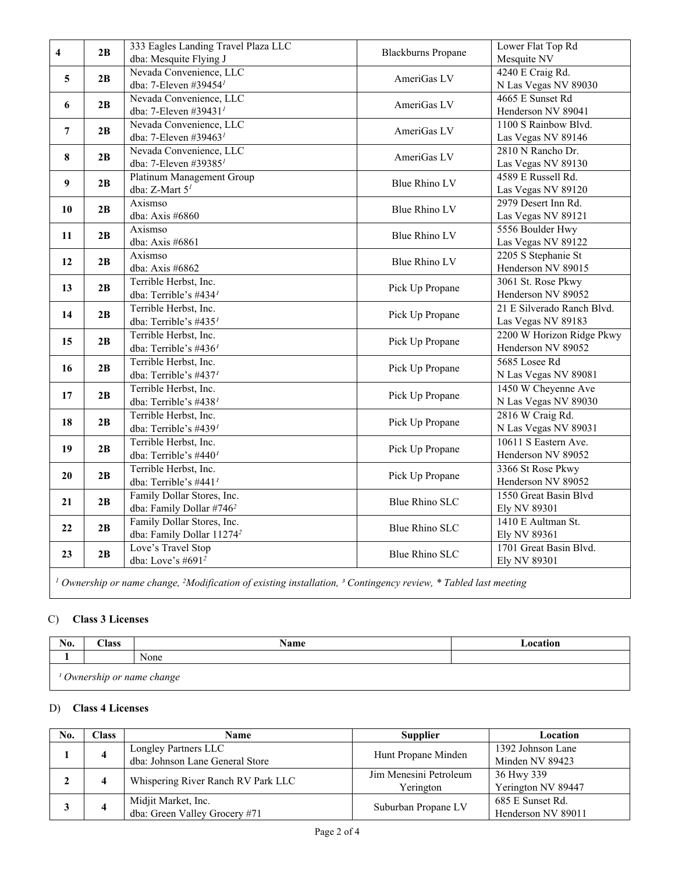| 4                                                                                                                                                 | 2B | 333 Eagles Landing Travel Plaza LLC                          | <b>Blackburns Propane</b> | Lower Flat Top Rd                          |
|---------------------------------------------------------------------------------------------------------------------------------------------------|----|--------------------------------------------------------------|---------------------------|--------------------------------------------|
|                                                                                                                                                   |    | dba: Mesquite Flying J                                       |                           | Mesquite NV                                |
| 5                                                                                                                                                 | 2B | Nevada Convenience, LLC                                      | AmeriGas LV               | 4240 E Craig Rd.                           |
|                                                                                                                                                   |    | dba: 7-Eleven #39454 <sup>1</sup>                            |                           | N Las Vegas NV 89030                       |
| 6                                                                                                                                                 | 2B | Nevada Convenience, LLC<br>dba: 7-Eleven #39431 <sup>1</sup> | AmeriGas LV               | 4665 E Sunset Rd                           |
|                                                                                                                                                   |    |                                                              |                           | Henderson NV 89041<br>1100 S Rainbow Blvd. |
| 7                                                                                                                                                 | 2B | Nevada Convenience, LLC<br>dba: 7-Eleven #39463 $^1$         | AmeriGas LV               |                                            |
|                                                                                                                                                   |    | Nevada Convenience, LLC                                      |                           | Las Vegas NV 89146<br>2810 N Rancho Dr.    |
| 8                                                                                                                                                 | 2B | dba: 7-Eleven #39385 <sup>1</sup>                            | AmeriGas LV               | Las Vegas NV 89130                         |
|                                                                                                                                                   |    | Platinum Management Group                                    |                           | 4589 E Russell Rd.                         |
| 9                                                                                                                                                 | 2B | dba: Z-Mart $51$                                             | <b>Blue Rhino LV</b>      | Las Vegas NV 89120                         |
|                                                                                                                                                   |    | Axismso                                                      |                           | 2979 Desert Inn Rd.                        |
| 10                                                                                                                                                | 2B | dba: Axis #6860                                              | Blue Rhino LV             | Las Vegas NV 89121                         |
|                                                                                                                                                   |    | Axismso                                                      |                           | 5556 Boulder Hwy                           |
| 11                                                                                                                                                | 2B | dba: Axis #6861                                              | Blue Rhino LV             | Las Vegas NV 89122                         |
| 12                                                                                                                                                | 2B | Axismso                                                      |                           | 2205 S Stephanie St                        |
|                                                                                                                                                   |    | dba: Axis #6862                                              | <b>Blue Rhino LV</b>      | Henderson NV 89015                         |
| 13                                                                                                                                                | 2B | Terrible Herbst, Inc.                                        |                           | 3061 St. Rose Pkwy                         |
|                                                                                                                                                   |    | dba: Terrible's #4341                                        | Pick Up Propane           | Henderson NV 89052                         |
| 14                                                                                                                                                | 2B | Terrible Herbst, Inc.                                        |                           | 21 E Silverado Ranch Blvd.                 |
|                                                                                                                                                   |    | dba: Terrible's $\#435'$                                     | Pick Up Propane           | Las Vegas NV 89183                         |
|                                                                                                                                                   |    | Terrible Herbst, Inc.                                        |                           | 2200 W Horizon Ridge Pkwy                  |
| 15                                                                                                                                                | 2B | dba: Terrible's #436 <sup>1</sup>                            | Pick Up Propane           | Henderson NV 89052                         |
| 16                                                                                                                                                |    | Terrible Herbst, Inc.                                        |                           | 5685 Losee Rd                              |
|                                                                                                                                                   | 2B | dba: Terrible's #4371                                        | Pick Up Propane           | N Las Vegas NV 89081                       |
|                                                                                                                                                   |    | Terrible Herbst, Inc.                                        |                           | 1450 W Cheyenne Ave                        |
| 17                                                                                                                                                | 2B | dba: Terrible's #4381                                        | Pick Up Propane           | N Las Vegas NV 89030                       |
|                                                                                                                                                   | 2B | Terrible Herbst, Inc.                                        |                           | 2816 W Craig Rd.                           |
| 18                                                                                                                                                |    | dba: Terrible's #4391                                        | Pick Up Propane           | N Las Vegas NV 89031                       |
|                                                                                                                                                   | 2B | Terrible Herbst, Inc.                                        |                           | 10611 S Eastern Ave.                       |
| 19                                                                                                                                                |    | dba: Terrible's #440 <sup>1</sup>                            | Pick Up Propane           | Henderson NV 89052                         |
|                                                                                                                                                   | 2B | Terrible Herbst, Inc.                                        |                           | 3366 St Rose Pkwy                          |
| 20                                                                                                                                                |    | dba: Terrible's #441 <sup>1</sup>                            | Pick Up Propane           | Henderson NV 89052                         |
|                                                                                                                                                   |    | Family Dollar Stores, Inc.                                   |                           | 1550 Great Basin Blvd                      |
| 21                                                                                                                                                | 2B | dba: Family Dollar #746 <sup>2</sup>                         | <b>Blue Rhino SLC</b>     | Ely NV 89301                               |
| 22                                                                                                                                                | 2B | Family Dollar Stores, Inc.                                   | <b>Blue Rhino SLC</b>     | 1410 E Aultman St.                         |
|                                                                                                                                                   |    | dba: Family Dollar 11274 <sup>2</sup>                        |                           | Ely NV 89361                               |
| 23                                                                                                                                                | 2B | Love's Travel Stop                                           | <b>Blue Rhino SLC</b>     | 1701 Great Basin Blvd.                     |
|                                                                                                                                                   |    | dba: Love's #691 <sup>2</sup>                                |                           | Ely NV 89301                               |
| <sup>1</sup> Ownership or name change, <sup>2</sup> Modification of existing installation, <sup>3</sup> Contingency review, * Tabled last meeting |    |                                                              |                           |                                            |

# C) **Class 3 Licenses**

| No.                                   | $\text{Class}$ | <b>Name</b> | Location |  |
|---------------------------------------|----------------|-------------|----------|--|
|                                       |                | None        |          |  |
| <sup>1</sup> Ownership or name change |                |             |          |  |

## D) **Class 4 Licenses**

| No. | Class : | <b>Name</b>                        | <b>Supplier</b>        | Location           |
|-----|---------|------------------------------------|------------------------|--------------------|
|     |         | Longley Partners LLC               | Hunt Propane Minden    | 1392 Johnson Lane  |
|     |         | dba: Johnson Lane General Store    |                        | Minden NV 89423    |
|     |         | Whispering River Ranch RV Park LLC | Jim Menesini Petroleum | 36 Hwy 339         |
|     |         |                                    | Yerington              | Yerington NV 89447 |
|     |         | Midjit Market, Inc.                | Suburban Propane LV    | 685 E Sunset Rd.   |
|     |         | dba: Green Valley Grocery #71      |                        | Henderson NV 89011 |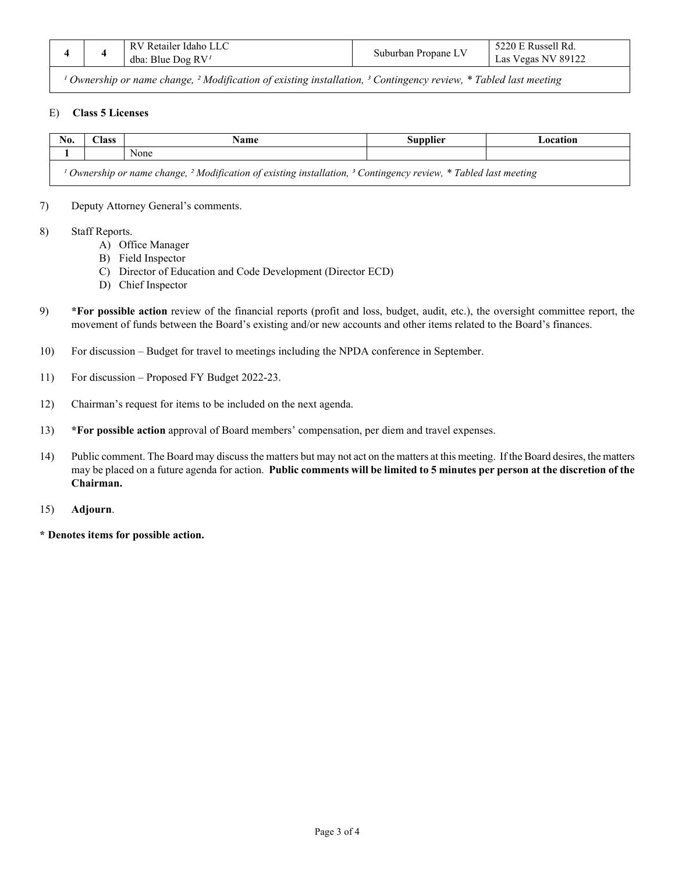| Propane<br>Suburban<br>89122<br>RV <sup>1</sup><br>dba:<br>Las<br>egas<br>NV.<br>Blue<br>ഥര |
|---------------------------------------------------------------------------------------------|
|---------------------------------------------------------------------------------------------|

<sup>1</sup> Ownership or name change, <sup>2</sup> Modification of existing installation, <sup>3</sup> Contingency review, \* Tabled last meeting

## E) **Class 5 Licenses**

| No.                                                                                                                                               | ~lass | Name | Supplier | Location |  |
|---------------------------------------------------------------------------------------------------------------------------------------------------|-------|------|----------|----------|--|
|                                                                                                                                                   |       | None |          |          |  |
| <sup>1</sup> Ownership or name change, <sup>2</sup> Modification of existing installation, <sup>3</sup> Contingency review, * Tabled last meeting |       |      |          |          |  |

7) Deputy Attorney General's comments.

- 8) Staff Reports.
	- A) Office Manager
	- B) Field Inspector
	- C) Director of Education and Code Development (Director ECD)
	- D) Chief Inspector
- 9) **\*For possible action** review of the financial reports (profit and loss, budget, audit, etc.), the oversight committee report, the movement of funds between the Board's existing and/or new accounts and other items related to the Board's finances.
- 10) For discussion Budget for travel to meetings including the NPDA conference in September.
- 11) For discussion Proposed FY Budget 2022-23.
- 12) Chairman's request for items to be included on the next agenda.
- 13) **\*For possible action** approval of Board members' compensation, per diem and travel expenses.
- 14) Public comment. The Board may discuss the matters but may not act on the matters at this meeting. If the Board desires, the matters may be placed on a future agenda for action. **Public comments will be limited to 5 minutes per person at the discretion of the Chairman.**
- 15) **Adjourn**.
- **\* Denotes items for possible action.**